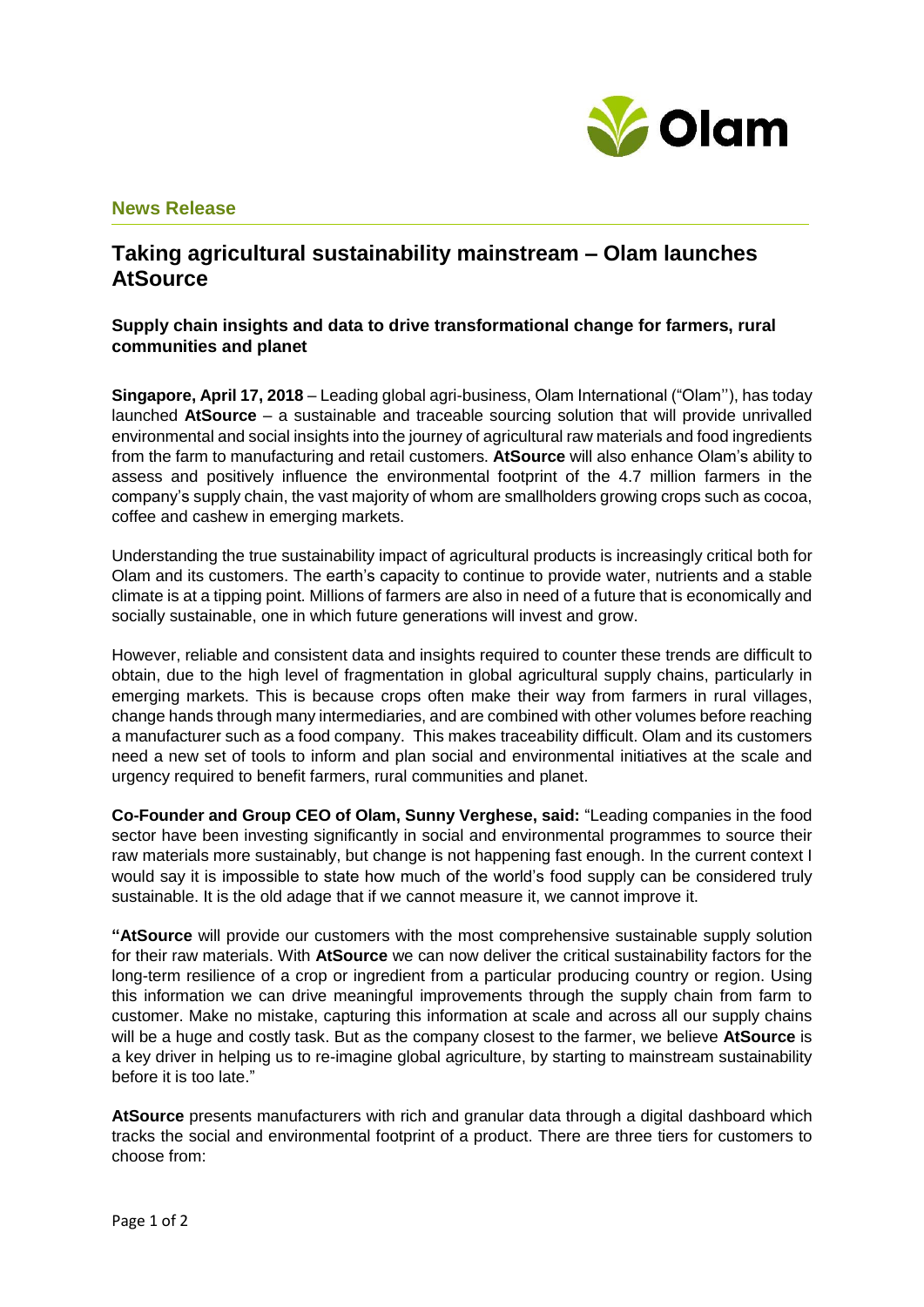

# **News Release**

# **Taking agricultural sustainability mainstream – Olam launches AtSource**

## **Supply chain insights and data to drive transformational change for farmers, rural communities and planet**

**Singapore, April 17, 2018** – Leading global agri-business, Olam International ("Olam''), has today launched **AtSource** – a sustainable and traceable sourcing solution that will provide unrivalled environmental and social insights into the journey of agricultural raw materials and food ingredients from the farm to manufacturing and retail customers. **AtSource** will also enhance Olam's ability to assess and positively influence the environmental footprint of the 4.7 million farmers in the company's supply chain, the vast majority of whom are smallholders growing crops such as cocoa, coffee and cashew in emerging markets.

Understanding the true sustainability impact of agricultural products is increasingly critical both for Olam and its customers. The earth's capacity to continue to provide water, nutrients and a stable climate is at a tipping point. Millions of farmers are also in need of a future that is economically and socially sustainable, one in which future generations will invest and grow.

However, reliable and consistent data and insights required to counter these trends are difficult to obtain, due to the high level of fragmentation in global agricultural supply chains, particularly in emerging markets. This is because crops often make their way from farmers in rural villages, change hands through many intermediaries, and are combined with other volumes before reaching a manufacturer such as a food company. This makes traceability difficult. Olam and its customers need a new set of tools to inform and plan social and environmental initiatives at the scale and urgency required to benefit farmers, rural communities and planet.

**Co-Founder and Group CEO of Olam, Sunny Verghese, said:** "Leading companies in the food sector have been investing significantly in social and environmental programmes to source their raw materials more sustainably, but change is not happening fast enough. In the current context I would say it is impossible to state how much of the world's food supply can be considered truly sustainable. It is the old adage that if we cannot measure it, we cannot improve it.

**"AtSource** will provide our customers with the most comprehensive sustainable supply solution for their raw materials. With **AtSource** we can now deliver the critical sustainability factors for the long-term resilience of a crop or ingredient from a particular producing country or region. Using this information we can drive meaningful improvements through the supply chain from farm to customer. Make no mistake, capturing this information at scale and across all our supply chains will be a huge and costly task. But as the company closest to the farmer, we believe **AtSource** is a key driver in helping us to re-imagine global agriculture, by starting to mainstream sustainability before it is too late."

**AtSource** presents manufacturers with rich and granular data through a digital dashboard which tracks the social and environmental footprint of a product. There are three tiers for customers to choose from: